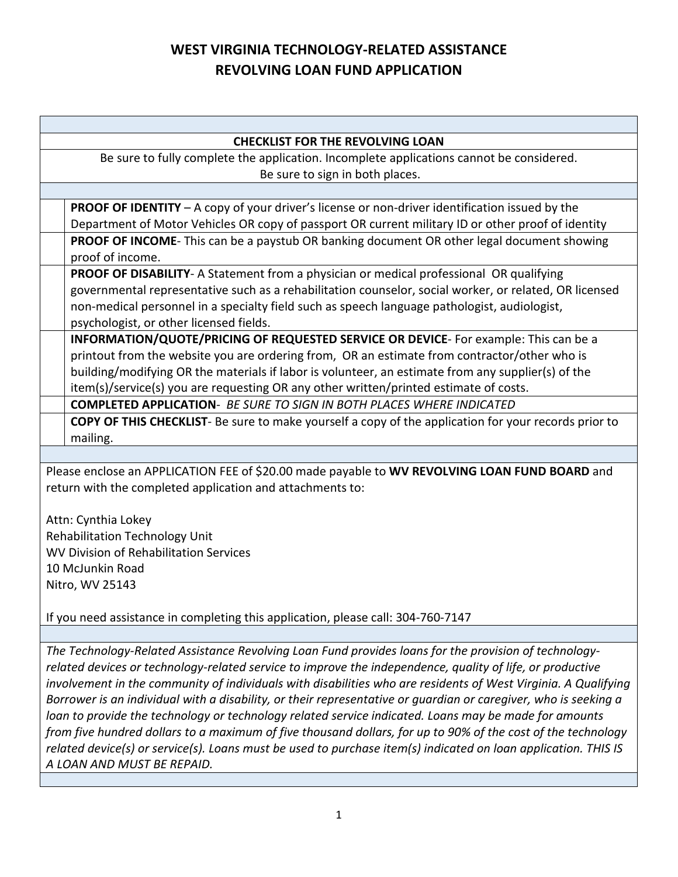## **WEST VIRGINIA TECHNOLOGY-RELATED ASSISTANCE REVOLVING LOAN FUND APPLICATION**

| <b>CHECKLIST FOR THE REVOLVING LOAN</b>                                                                   |                                                                                                        |  |  |  |
|-----------------------------------------------------------------------------------------------------------|--------------------------------------------------------------------------------------------------------|--|--|--|
| Be sure to fully complete the application. Incomplete applications cannot be considered.                  |                                                                                                        |  |  |  |
|                                                                                                           | Be sure to sign in both places.                                                                        |  |  |  |
|                                                                                                           |                                                                                                        |  |  |  |
|                                                                                                           | PROOF OF IDENTITY - A copy of your driver's license or non-driver identification issued by the         |  |  |  |
|                                                                                                           | Department of Motor Vehicles OR copy of passport OR current military ID or other proof of identity     |  |  |  |
|                                                                                                           | PROOF OF INCOME- This can be a paystub OR banking document OR other legal document showing             |  |  |  |
|                                                                                                           | proof of income.                                                                                       |  |  |  |
|                                                                                                           | PROOF OF DISABILITY- A Statement from a physician or medical professional OR qualifying                |  |  |  |
|                                                                                                           | governmental representative such as a rehabilitation counselor, social worker, or related, OR licensed |  |  |  |
|                                                                                                           | non-medical personnel in a specialty field such as speech language pathologist, audiologist,           |  |  |  |
|                                                                                                           | psychologist, or other licensed fields.                                                                |  |  |  |
|                                                                                                           | INFORMATION/QUOTE/PRICING OF REQUESTED SERVICE OR DEVICE- For example: This can be a                   |  |  |  |
|                                                                                                           | printout from the website you are ordering from, OR an estimate from contractor/other who is           |  |  |  |
|                                                                                                           | building/modifying OR the materials if labor is volunteer, an estimate from any supplier(s) of the     |  |  |  |
|                                                                                                           | item(s)/service(s) you are requesting OR any other written/printed estimate of costs.                  |  |  |  |
|                                                                                                           | <b>COMPLETED APPLICATION- BE SURE TO SIGN IN BOTH PLACES WHERE INDICATED</b>                           |  |  |  |
|                                                                                                           | COPY OF THIS CHECKLIST- Be sure to make yourself a copy of the application for your records prior to   |  |  |  |
|                                                                                                           | mailing.                                                                                               |  |  |  |
|                                                                                                           |                                                                                                        |  |  |  |
|                                                                                                           | Please enclose an APPLICATION FEE of \$20.00 made payable to WV REVOLVING LOAN FUND BOARD and          |  |  |  |
|                                                                                                           | return with the completed application and attachments to:                                              |  |  |  |
|                                                                                                           |                                                                                                        |  |  |  |
|                                                                                                           | Attn: Cynthia Lokey                                                                                    |  |  |  |
| <b>Rehabilitation Technology Unit</b>                                                                     |                                                                                                        |  |  |  |
| WV Division of Rehabilitation Services                                                                    |                                                                                                        |  |  |  |
| 10 McJunkin Road                                                                                          |                                                                                                        |  |  |  |
| Nitro, WV 25143                                                                                           |                                                                                                        |  |  |  |
|                                                                                                           |                                                                                                        |  |  |  |
| If you need assistance in completing this application, please call: 304-760-7147                          |                                                                                                        |  |  |  |
|                                                                                                           |                                                                                                        |  |  |  |
| The Technology-Related Assistance Revolving Loan Fund provides loans for the provision of technology-     |                                                                                                        |  |  |  |
| related devices or technology-related service to improve the independence, quality of life, or productive |                                                                                                        |  |  |  |

*involvement in the community of individuals with disabilities who are residents of West Virginia. A Qualifying Borrower is an individual with a disability, or their representative or guardian or caregiver, who is seeking a loan to provide the technology or technology related service indicated. Loans may be made for amounts from five hundred dollars to a maximum of five thousand dollars, for up to 90% of the cost of the technology related device(s) or service(s). Loans must be used to purchase item(s) indicated on loan application. THIS IS A LOAN AND MUST BE REPAID.*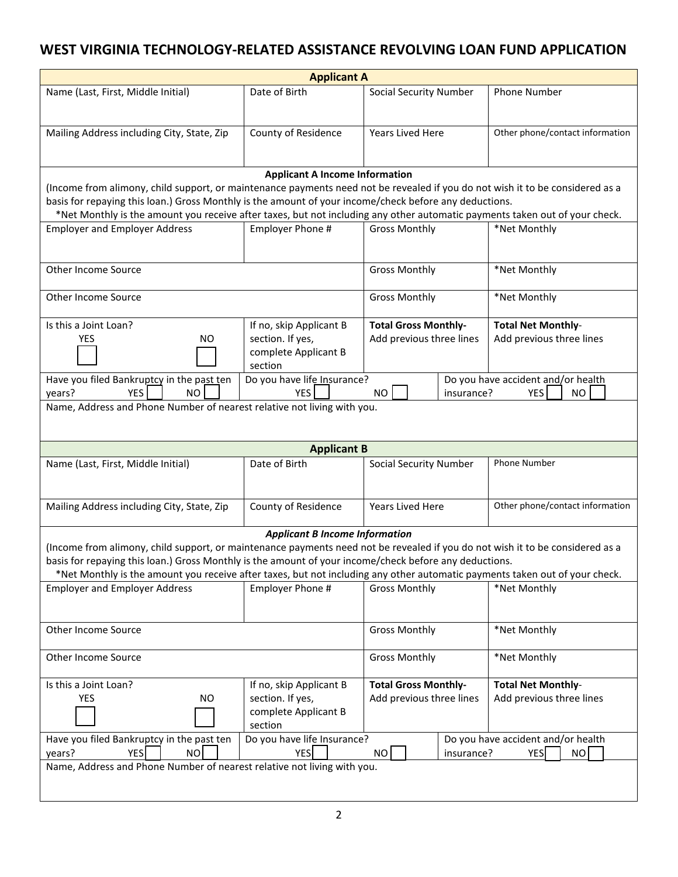## **WEST VIRGINIA TECHNOLOGY-RELATED ASSISTANCE REVOLVING LOAN FUND APPLICATION**

| <b>Applicant A</b>                                                                                                                                                                                                                    |                                       |                               |                                    |  |  |
|---------------------------------------------------------------------------------------------------------------------------------------------------------------------------------------------------------------------------------------|---------------------------------------|-------------------------------|------------------------------------|--|--|
| Name (Last, First, Middle Initial)                                                                                                                                                                                                    | Date of Birth                         | <b>Social Security Number</b> | Phone Number                       |  |  |
|                                                                                                                                                                                                                                       |                                       |                               |                                    |  |  |
| Mailing Address including City, State, Zip                                                                                                                                                                                            | County of Residence                   | Years Lived Here              | Other phone/contact information    |  |  |
|                                                                                                                                                                                                                                       |                                       |                               |                                    |  |  |
|                                                                                                                                                                                                                                       | <b>Applicant A Income Information</b> |                               |                                    |  |  |
| (Income from alimony, child support, or maintenance payments need not be revealed if you do not wish it to be considered as a                                                                                                         |                                       |                               |                                    |  |  |
| basis for repaying this loan.) Gross Monthly is the amount of your income/check before any deductions.<br>*Net Monthly is the amount you receive after taxes, but not including any other automatic payments taken out of your check. |                                       |                               |                                    |  |  |
| <b>Employer and Employer Address</b>                                                                                                                                                                                                  | Employer Phone #                      | <b>Gross Monthly</b>          | *Net Monthly                       |  |  |
|                                                                                                                                                                                                                                       |                                       |                               |                                    |  |  |
| Other Income Source                                                                                                                                                                                                                   |                                       | <b>Gross Monthly</b>          | *Net Monthly                       |  |  |
|                                                                                                                                                                                                                                       |                                       |                               |                                    |  |  |
| Other Income Source                                                                                                                                                                                                                   |                                       | <b>Gross Monthly</b>          | *Net Monthly                       |  |  |
| Is this a Joint Loan?                                                                                                                                                                                                                 | If no, skip Applicant B               | <b>Total Gross Monthly-</b>   | <b>Total Net Monthly-</b>          |  |  |
| <b>YES</b><br><b>NO</b>                                                                                                                                                                                                               | section. If yes,                      | Add previous three lines      | Add previous three lines           |  |  |
|                                                                                                                                                                                                                                       | complete Applicant B<br>section       |                               |                                    |  |  |
| Have you filed Bankruptcy in the past ten                                                                                                                                                                                             | Do you have life Insurance?           |                               | Do you have accident and/or health |  |  |
| <b>YES</b><br>years?<br><b>NO</b>                                                                                                                                                                                                     | <b>YES</b>                            | <b>NO</b><br>insurance?       | YES<br><b>NO</b>                   |  |  |
| Name, Address and Phone Number of nearest relative not living with you.                                                                                                                                                               |                                       |                               |                                    |  |  |
|                                                                                                                                                                                                                                       |                                       |                               |                                    |  |  |
|                                                                                                                                                                                                                                       | <b>Applicant B</b>                    |                               |                                    |  |  |
| Name (Last, First, Middle Initial)                                                                                                                                                                                                    | Date of Birth                         | <b>Social Security Number</b> | Phone Number                       |  |  |
|                                                                                                                                                                                                                                       |                                       |                               |                                    |  |  |
| Mailing Address including City, State, Zip                                                                                                                                                                                            | County of Residence                   | Years Lived Here              | Other phone/contact information    |  |  |
|                                                                                                                                                                                                                                       | <b>Applicant B Income Information</b> |                               |                                    |  |  |
| (Income from alimony, child support, or maintenance payments need not be revealed if you do not wish it to be considered as a                                                                                                         |                                       |                               |                                    |  |  |
| basis for repaying this loan.) Gross Monthly is the amount of your income/check before any deductions.                                                                                                                                |                                       |                               |                                    |  |  |
| *Net Monthly is the amount you receive after taxes, but not including any other automatic payments taken out of your check.                                                                                                           |                                       |                               | *Net Monthly                       |  |  |
| <b>Employer and Employer Address</b>                                                                                                                                                                                                  | Employer Phone #                      | <b>Gross Monthly</b>          |                                    |  |  |
|                                                                                                                                                                                                                                       |                                       |                               |                                    |  |  |
| Other Income Source                                                                                                                                                                                                                   |                                       | <b>Gross Monthly</b>          | *Net Monthly                       |  |  |
| Other Income Source                                                                                                                                                                                                                   |                                       | <b>Gross Monthly</b>          | *Net Monthly                       |  |  |
| Is this a Joint Loan?                                                                                                                                                                                                                 | If no, skip Applicant B               | <b>Total Gross Monthly-</b>   | <b>Total Net Monthly-</b>          |  |  |
| <b>YES</b><br><b>NO</b>                                                                                                                                                                                                               | section. If yes,                      | Add previous three lines      | Add previous three lines           |  |  |
|                                                                                                                                                                                                                                       | complete Applicant B<br>section       |                               |                                    |  |  |
| Have you filed Bankruptcy in the past ten                                                                                                                                                                                             | Do you have life Insurance?           |                               | Do you have accident and/or health |  |  |
| <b>YES</b><br><b>NO</b><br><b>YES</b><br><b>NO</b><br>NO.<br>insurance?<br><b>YES</b><br>years?                                                                                                                                       |                                       |                               |                                    |  |  |
| Name, Address and Phone Number of nearest relative not living with you.                                                                                                                                                               |                                       |                               |                                    |  |  |
|                                                                                                                                                                                                                                       |                                       |                               |                                    |  |  |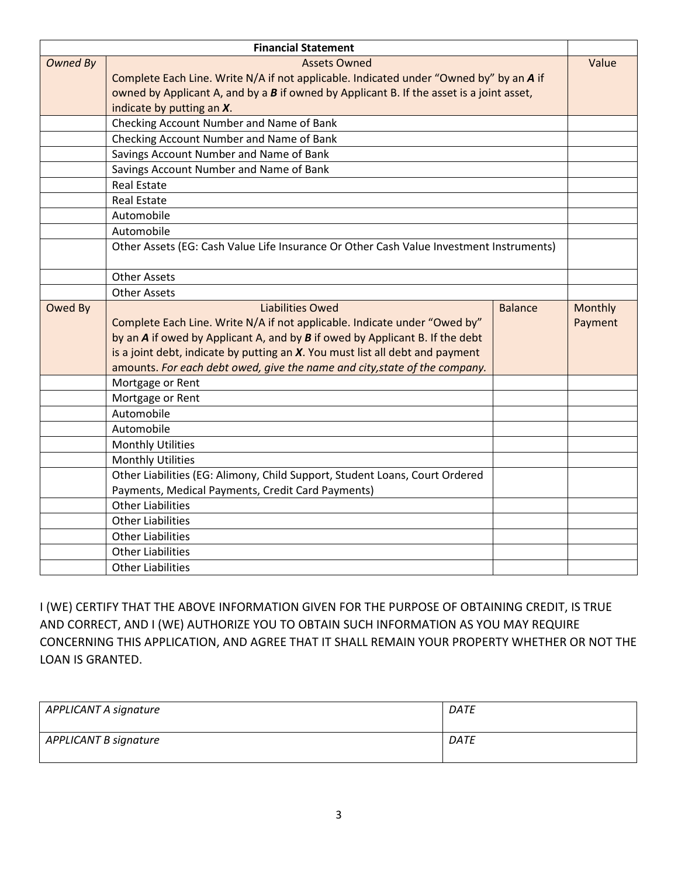|                                        | <b>Financial Statement</b>                                                                 |                |         |  |  |
|----------------------------------------|--------------------------------------------------------------------------------------------|----------------|---------|--|--|
| <b>Owned By</b><br><b>Assets Owned</b> |                                                                                            |                |         |  |  |
|                                        | Complete Each Line. Write N/A if not applicable. Indicated under "Owned by" by an A if     |                |         |  |  |
|                                        | owned by Applicant A, and by a $B$ if owned by Applicant B. If the asset is a joint asset, |                |         |  |  |
|                                        | indicate by putting an X.                                                                  |                |         |  |  |
|                                        | Checking Account Number and Name of Bank                                                   |                |         |  |  |
|                                        | Checking Account Number and Name of Bank                                                   |                |         |  |  |
|                                        | Savings Account Number and Name of Bank                                                    |                |         |  |  |
|                                        | Savings Account Number and Name of Bank                                                    |                |         |  |  |
|                                        | <b>Real Estate</b>                                                                         |                |         |  |  |
|                                        | <b>Real Estate</b>                                                                         |                |         |  |  |
|                                        | Automobile                                                                                 |                |         |  |  |
|                                        |                                                                                            |                |         |  |  |
|                                        | Other Assets (EG: Cash Value Life Insurance Or Other Cash Value Investment Instruments)    |                |         |  |  |
|                                        |                                                                                            |                |         |  |  |
|                                        |                                                                                            |                |         |  |  |
|                                        | <b>Other Assets</b>                                                                        |                |         |  |  |
| Owed By                                | <b>Liabilities Owed</b>                                                                    | <b>Balance</b> | Monthly |  |  |
|                                        | Complete Each Line. Write N/A if not applicable. Indicate under "Owed by"                  |                | Payment |  |  |
|                                        | by an A if owed by Applicant A, and by B if owed by Applicant B. If the debt               |                |         |  |  |
|                                        | is a joint debt, indicate by putting an $X$ . You must list all debt and payment           |                |         |  |  |
|                                        | amounts. For each debt owed, give the name and city, state of the company.                 |                |         |  |  |
|                                        | Mortgage or Rent                                                                           |                |         |  |  |
|                                        | Mortgage or Rent                                                                           |                |         |  |  |
|                                        | Automobile                                                                                 |                |         |  |  |
|                                        | Automobile                                                                                 |                |         |  |  |
|                                        | <b>Monthly Utilities</b>                                                                   |                |         |  |  |
|                                        | <b>Monthly Utilities</b>                                                                   |                |         |  |  |
|                                        | Other Liabilities (EG: Alimony, Child Support, Student Loans, Court Ordered                |                |         |  |  |
|                                        | Payments, Medical Payments, Credit Card Payments)                                          |                |         |  |  |
|                                        | <b>Other Liabilities</b>                                                                   |                |         |  |  |
|                                        | <b>Other Liabilities</b>                                                                   |                |         |  |  |
|                                        | <b>Other Liabilities</b>                                                                   |                |         |  |  |
|                                        | <b>Other Liabilities</b>                                                                   |                |         |  |  |
|                                        | <b>Other Liabilities</b>                                                                   |                |         |  |  |

I (WE) CERTIFY THAT THE ABOVE INFORMATION GIVEN FOR THE PURPOSE OF OBTAINING CREDIT, IS TRUE AND CORRECT, AND I (WE) AUTHORIZE YOU TO OBTAIN SUCH INFORMATION AS YOU MAY REQUIRE CONCERNING THIS APPLICATION, AND AGREE THAT IT SHALL REMAIN YOUR PROPERTY WHETHER OR NOT THE LOAN IS GRANTED.

| APPLICANT A signature        | DATE        |
|------------------------------|-------------|
| <b>APPLICANT B signature</b> | <b>DATE</b> |